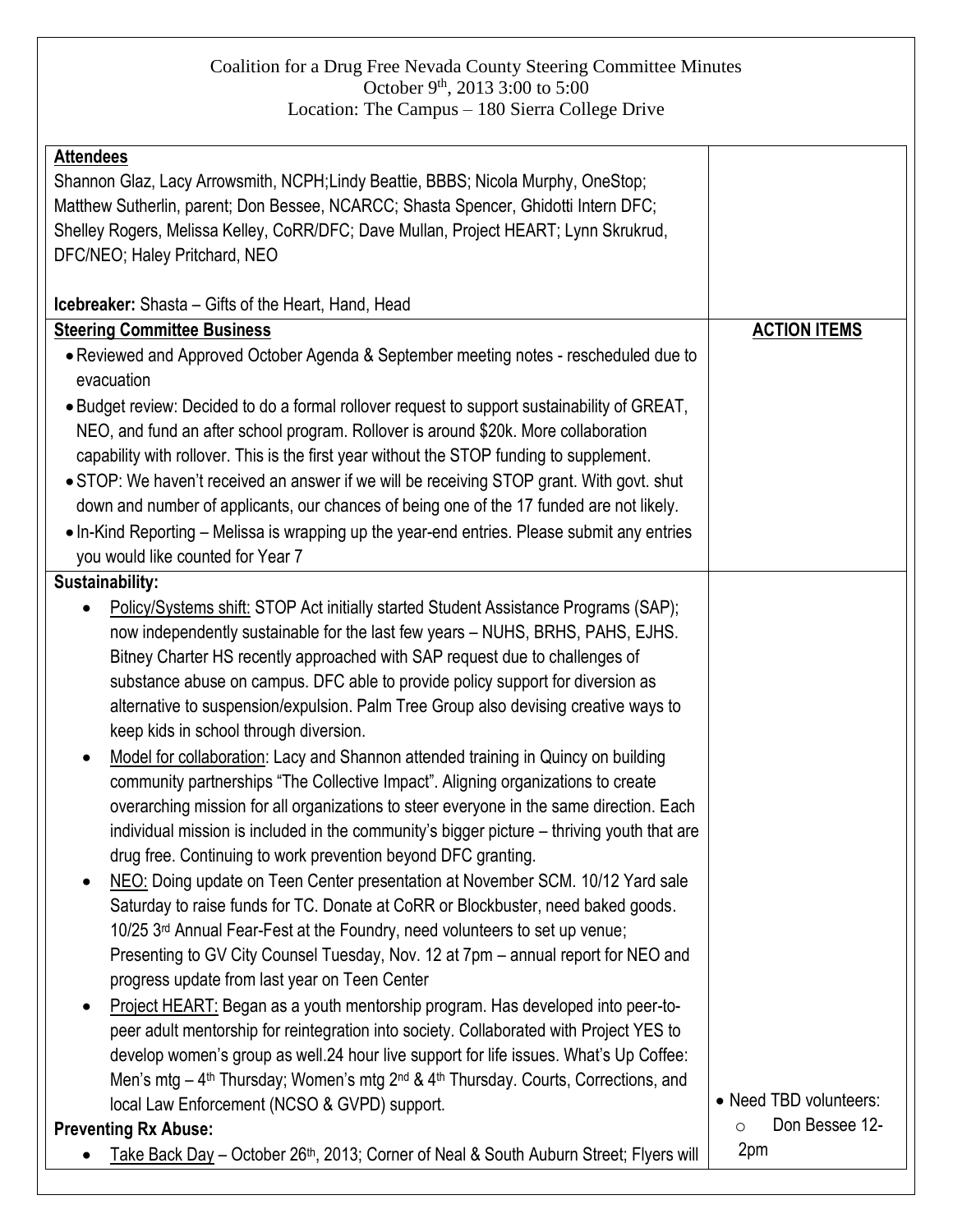## Coalition for a Drug Free Nevada County Steering Committee Minutes October  $9^{th}$ , 2013 3:00 to 5:00 Location: The Campus – 180 Sierra College Drive

| <b>Attendees</b>                                                                                                       |                        |
|------------------------------------------------------------------------------------------------------------------------|------------------------|
| Shannon Glaz, Lacy Arrowsmith, NCPH;Lindy Beattie, BBBS; Nicola Murphy, OneStop;                                       |                        |
| Matthew Sutherlin, parent; Don Bessee, NCARCC; Shasta Spencer, Ghidotti Intern DFC;                                    |                        |
| Shelley Rogers, Melissa Kelley, CoRR/DFC; Dave Mullan, Project HEART; Lynn Skrukrud,                                   |                        |
| DFC/NEO; Haley Pritchard, NEO                                                                                          |                        |
|                                                                                                                        |                        |
| <b>Icebreaker:</b> Shasta – Gifts of the Heart, Hand, Head                                                             |                        |
| <b>Steering Committee Business</b>                                                                                     | <b>ACTION ITEMS</b>    |
| • Reviewed and Approved October Agenda & September meeting notes - rescheduled due to                                  |                        |
| evacuation                                                                                                             |                        |
| . Budget review: Decided to do a formal rollover request to support sustainability of GREAT,                           |                        |
| NEO, and fund an after school program. Rollover is around \$20k. More collaboration                                    |                        |
| capability with rollover. This is the first year without the STOP funding to supplement.                               |                        |
| • STOP: We haven't received an answer if we will be receiving STOP grant. With govt. shut                              |                        |
| down and number of applicants, our chances of being one of the 17 funded are not likely.                               |                        |
| • In-Kind Reporting – Melissa is wrapping up the year-end entries. Please submit any entries                           |                        |
| you would like counted for Year 7                                                                                      |                        |
| Sustainability:                                                                                                        |                        |
| Policy/Systems shift: STOP Act initially started Student Assistance Programs (SAP);                                    |                        |
| now independently sustainable for the last few years - NUHS, BRHS, PAHS, EJHS.                                         |                        |
|                                                                                                                        |                        |
| Bitney Charter HS recently approached with SAP request due to challenges of                                            |                        |
| substance abuse on campus. DFC able to provide policy support for diversion as                                         |                        |
| alternative to suspension/expulsion. Palm Tree Group also devising creative ways to                                    |                        |
| keep kids in school through diversion.                                                                                 |                        |
| Model for collaboration: Lacy and Shannon attended training in Quincy on building<br>٠                                 |                        |
| community partnerships "The Collective Impact". Aligning organizations to create                                       |                        |
| overarching mission for all organizations to steer everyone in the same direction. Each                                |                        |
| individual mission is included in the community's bigger picture - thriving youth that are                             |                        |
| drug free. Continuing to work prevention beyond DFC granting.                                                          |                        |
| NEO: Doing update on Teen Center presentation at November SCM. 10/12 Yard sale<br>$\bullet$                            |                        |
| Saturday to raise funds for TC. Donate at CoRR or Blockbuster, need baked goods.                                       |                        |
| 10/25 3rd Annual Fear-Fest at the Foundry, need volunteers to set up venue;                                            |                        |
| Presenting to GV City Counsel Tuesday, Nov. 12 at 7pm - annual report for NEO and                                      |                        |
| progress update from last year on Teen Center                                                                          |                        |
| Project HEART: Began as a youth mentorship program. Has developed into peer-to-<br>٠                                   |                        |
| peer adult mentorship for reintegration into society. Collaborated with Project YES to                                 |                        |
| develop women's group as well.24 hour live support for life issues. What's Up Coffee:                                  |                        |
| Men's mtg - 4 <sup>th</sup> Thursday; Women's mtg 2 <sup>nd</sup> & 4 <sup>th</sup> Thursday. Courts, Corrections, and |                        |
| local Law Enforcement (NCSO & GVPD) support.                                                                           | • Need TBD volunteers: |
| <b>Preventing Rx Abuse:</b>                                                                                            | Don Bessee 12-<br>O    |
| Take Back Day - October 26 <sup>th</sup> , 2013; Corner of Neal & South Auburn Street; Flyers will                     | 2pm                    |